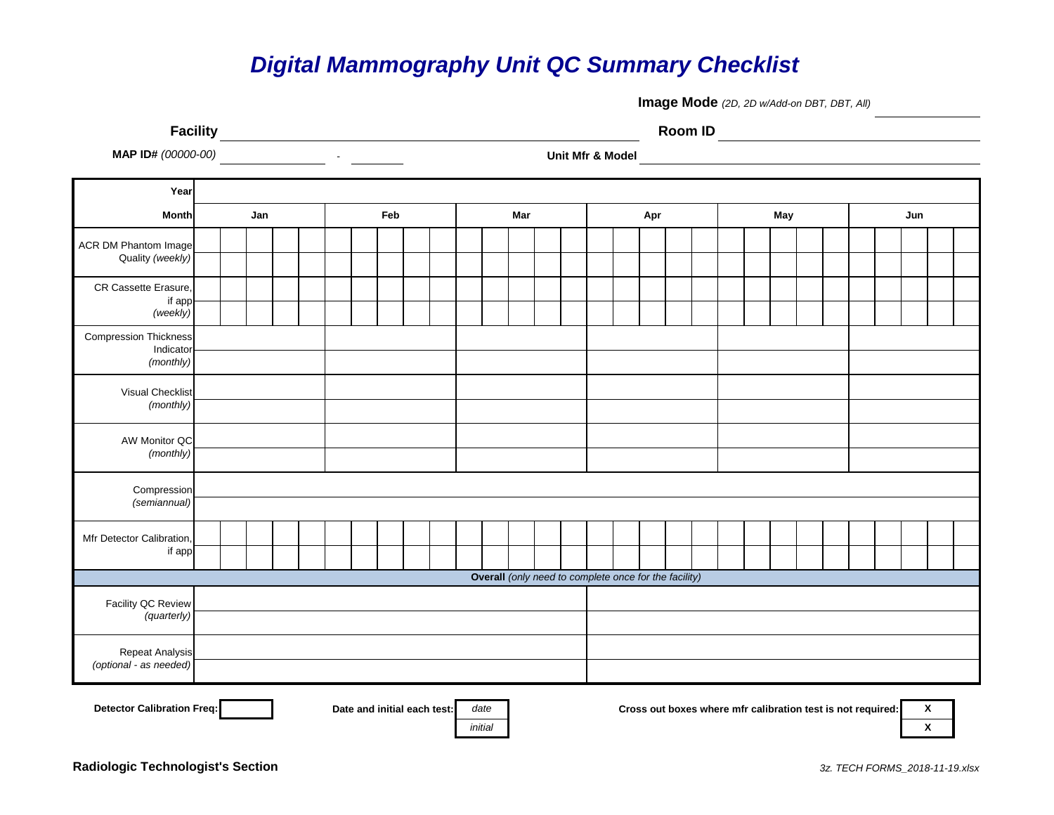## *Digital Mammography Unit QC Summary Checklist*

**Image Mode** *(2D, 2D w/Add-on DBT, DBT, All)*

**Facility Room ID** 0 0

*initial* **X**

**MAP ID#** *(00000-00)* - **Unit Mfr & Model** 00000 00

| Year                                                              |  |     |  |  |  |     |  |  |  |  |     |                                                                             |  |  |                                                       |     |  |  |  |  |     |  |  |  |  |     |  |  |  |  |
|-------------------------------------------------------------------|--|-----|--|--|--|-----|--|--|--|--|-----|-----------------------------------------------------------------------------|--|--|-------------------------------------------------------|-----|--|--|--|--|-----|--|--|--|--|-----|--|--|--|--|
| <b>Month</b>                                                      |  | Jan |  |  |  | Feb |  |  |  |  | Mar |                                                                             |  |  |                                                       | Apr |  |  |  |  | May |  |  |  |  | Jun |  |  |  |  |
| <b>ACR DM Phantom Image</b><br>Quality (weekly)                   |  |     |  |  |  |     |  |  |  |  |     |                                                                             |  |  |                                                       |     |  |  |  |  |     |  |  |  |  |     |  |  |  |  |
| CR Cassette Erasure,<br>if app<br>(weekly)                        |  |     |  |  |  |     |  |  |  |  |     |                                                                             |  |  |                                                       |     |  |  |  |  |     |  |  |  |  |     |  |  |  |  |
| <b>Compression Thickness</b><br>Indicator<br>(monthly)            |  |     |  |  |  |     |  |  |  |  |     |                                                                             |  |  |                                                       |     |  |  |  |  |     |  |  |  |  |     |  |  |  |  |
| <b>Visual Checklist</b><br>(monthly)                              |  |     |  |  |  |     |  |  |  |  |     |                                                                             |  |  |                                                       |     |  |  |  |  |     |  |  |  |  |     |  |  |  |  |
| AW Monitor QC<br>(monthly)                                        |  |     |  |  |  |     |  |  |  |  |     |                                                                             |  |  |                                                       |     |  |  |  |  |     |  |  |  |  |     |  |  |  |  |
| Compression<br>(semiannual)                                       |  |     |  |  |  |     |  |  |  |  |     |                                                                             |  |  |                                                       |     |  |  |  |  |     |  |  |  |  |     |  |  |  |  |
| Mfr Detector Calibration,<br>if app                               |  |     |  |  |  |     |  |  |  |  |     |                                                                             |  |  |                                                       |     |  |  |  |  |     |  |  |  |  |     |  |  |  |  |
|                                                                   |  |     |  |  |  |     |  |  |  |  |     |                                                                             |  |  | Overall (only need to complete once for the facility) |     |  |  |  |  |     |  |  |  |  |     |  |  |  |  |
| Facility QC Review<br>(quarterly)                                 |  |     |  |  |  |     |  |  |  |  |     |                                                                             |  |  |                                                       |     |  |  |  |  |     |  |  |  |  |     |  |  |  |  |
| Repeat Analysis<br>(optional - as needed)                         |  |     |  |  |  |     |  |  |  |  |     |                                                                             |  |  |                                                       |     |  |  |  |  |     |  |  |  |  |     |  |  |  |  |
| Detector Calibration Freq:<br>Date and initial each test:<br>date |  |     |  |  |  |     |  |  |  |  |     | $\pmb{\chi}$<br>Cross out boxes where mfr calibration test is not required: |  |  |                                                       |     |  |  |  |  |     |  |  |  |  |     |  |  |  |  |